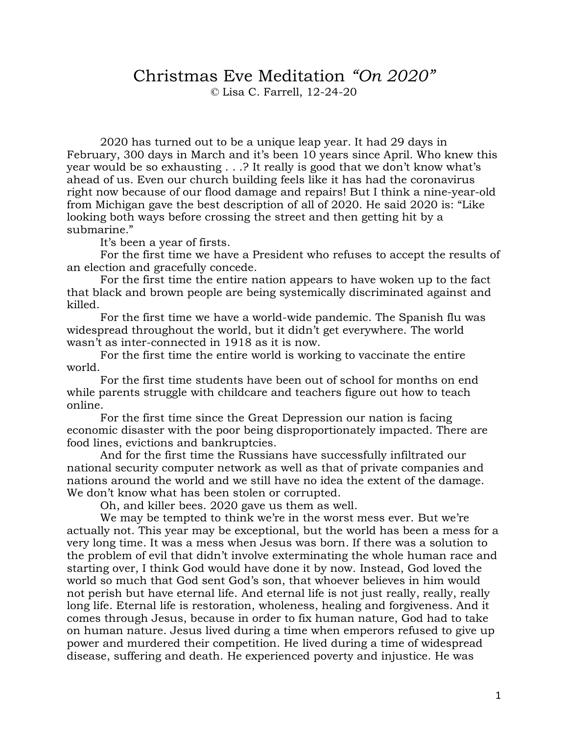## Christmas Eve Meditation *"On 2020"*

© Lisa C. Farrell, 12-24-20

2020 has turned out to be a unique leap year. It had 29 days in February, 300 days in March and it's been 10 years since April. Who knew this year would be so exhausting . . .? It really is good that we don't know what's ahead of us. Even our church building feels like it has had the coronavirus right now because of our flood damage and repairs! But I think a nine-year-old from Michigan gave the best description of all of 2020. He said 2020 is: "Like looking both ways before crossing the street and then getting hit by a submarine."

It's been a year of firsts.

For the first time we have a President who refuses to accept the results of an election and gracefully concede.

For the first time the entire nation appears to have woken up to the fact that black and brown people are being systemically discriminated against and killed.

For the first time we have a world-wide pandemic. The Spanish flu was widespread throughout the world, but it didn't get everywhere. The world wasn't as inter-connected in 1918 as it is now.

For the first time the entire world is working to vaccinate the entire world.

For the first time students have been out of school for months on end while parents struggle with childcare and teachers figure out how to teach online.

For the first time since the Great Depression our nation is facing economic disaster with the poor being disproportionately impacted. There are food lines, evictions and bankruptcies.

And for the first time the Russians have successfully infiltrated our national security computer network as well as that of private companies and nations around the world and we still have no idea the extent of the damage. We don't know what has been stolen or corrupted.

Oh, and killer bees. 2020 gave us them as well.

We may be tempted to think we're in the worst mess ever. But we're actually not. This year may be exceptional, but the world has been a mess for a very long time. It was a mess when Jesus was born. If there was a solution to the problem of evil that didn't involve exterminating the whole human race and starting over, I think God would have done it by now. Instead, God loved the world so much that God sent God's son, that whoever believes in him would not perish but have eternal life. And eternal life is not just really, really, really long life. Eternal life is restoration, wholeness, healing and forgiveness. And it comes through Jesus, because in order to fix human nature, God had to take on human nature. Jesus lived during a time when emperors refused to give up power and murdered their competition. He lived during a time of widespread disease, suffering and death. He experienced poverty and injustice. He was